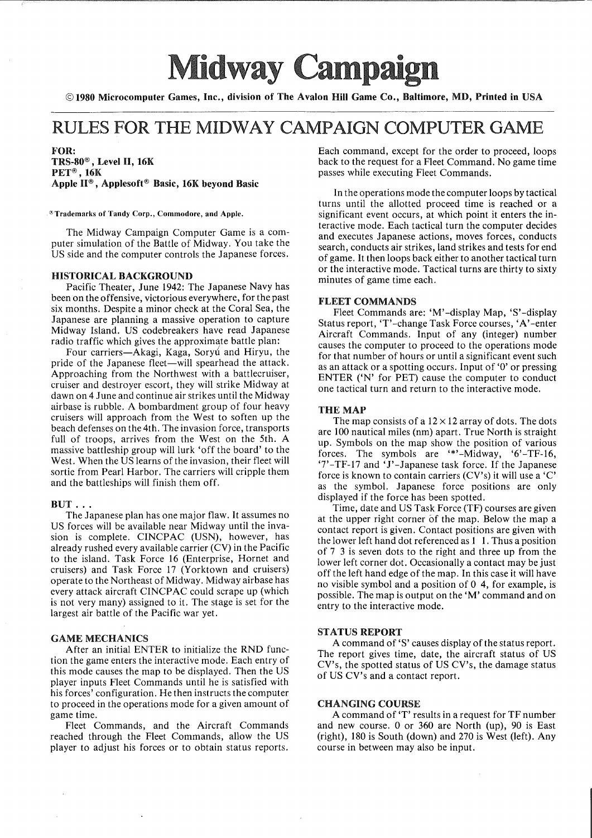# **• Midway Campaign**

©1980 Microcomputer Games, Inc., division of The Avalon Hill Game Co., Baltimore, MD, Printed **in** USA

# RULES FOR THE MIDWAY CAMPAIGN COMPUTER GAME

FOR:  $TRS-80^\circ$ , Level II, 16K PET®, 16K Apple n® , Applesoft® Basic, 16K beyond Basic

®Trademarks of Tandy Corp., Commodore, and Apple.

The Midway Campaign Computer Game is a computer simulation of the Battle of Midway. You take the US side and the computer controls the Japanese forces.

#### HISTORICAL BACKGROUND

Pacific Theater, June 1942: The Japanese Navy has been on the offensive, victorious everywhere, for the past six months. Despite a minor check at the Coral Sea, the Japanese are planning a massive operation to capture Midway Island. US codebreakers have read Japanese radio traffic which gives the approximate battle plan:

Four carriers—Akagi, Kaga, Soryú and Hiryu, the pride of the Japanese fleet—will spearhead the attack. Approaching from the Northwest with a battlecruiser, cruiser and destroyer escort, they will strike Midway at dawn on 4 June and continue air strikes until the Midway airbase is rubble. A bombardment group of four heavy cruisers will approach from the West to soften up the beach defenses on the 4th. The invasion force, transports full of troops, arrives from the West on the 5th. A massive battleship group will lurk 'off the board' to the West. When the US learns of the invasion, their fleet will sortie from Pearl Harbor. The carriers will cripple them and the battleships will finish them off.

#### $BUT \ldots$

The Japanese plan has one major flaw. It assumes no US forces will be available near Midway until the invasion is complete. CINCPAC (USN), however, has already rushed every available carrier (CV) in the Pacific to the island. Task Force 16 (Enterprise, Hornet and cruisers) and Task Force 17 (Yorktown and cruisers) operate to the Northeast of Midway. Midway airbase has every attack aircraft CINCPAC could scrape up (which is not very many) assigned to it. The stage is set for the largest air battle of the Pacific war yet.

## GAME MECHANICS

After an initial ENTER to initialize the RND function the game enters the interactive mode. Each entry of this mode causes the map to be displayed. Then the US player inputs Fleet Commands until he is satisfied with his forces' configuration. He then instructs the computer to proceed in the operations mode for a given amount of game time.

Fleet Commands, and the Aircraft Commands reached through the Fleet Commands, allow the US player to adjust his forces or to obtain status reports. Each command, except for the order to proceed, loops back to the request for a Fleet Command. No game time passes while executing Fleet Commands.

In the operations mode the computer loops by tactical turns until the allotted proceed time is reached or a significant event occurs, at which point it enters the interactive mode. Each tactical turn the computer decides and executes Japanese actions, moves forces, conducts search, conducts air strikes, land strikes and tests for end of game. It then loops back either to another tactical turn or the interactive mode. Tactical turns are thirty to sixty minutes of game time each.

## FLEET COMMANDS

Fleet Commands are: 'M'-display Map, 'S'-display Status report, 'T'-change Task Force courses, 'A'-enter Aircraft Commands. Input of any (integer) number causes the computer to proceed to the operations mode for that number of hours or until a significant event such as an attack or a spotting occurs. Input of '0' or pressing ENTER ('N' for PET) cause the computer to conduct one tactical turn and return to the interactive mode.

# THE MAP

The map consists of a  $12 \times 12$  array of dots. The dots are 100 nautical miles (nm) apart. True North is straight up. Symbols on the map show the position of various forces. The symbols are '\*'-Midway, '6'-TF-16, '7'-TF-17 and'J'-Japanese task force. If the Japanese force is known to contain carriers (CV's) it will use a 'C' as the symbol. Japanese force positions are only displayed if the force has been spotted.

Time, date and US Task Force (TF) courses are given at the upper right corner of the map. Below the map a contact report is given. Contact positions are given with the lower left hand dot referenced as 1 1. Thus a position of 7 3 is seven dots to the right and three up from the lower left corner dot. Occasionally a contact may be just off the left hand edge of the map. In this case it will have no visible symbol and a position of 0 4, for example, is possible. The map is output on the 'M' command and on entry to the interactive mode.

#### STATUS REPORT

A command of 'S' causes display of the status report. The report gives time, date, the aircraft status of US CV's, the spotted status of US CV's, the damage status of US CV's and a contact report.

## CHANGING COURSE

A command of 'T' results in a request for TF number and new course. 0 or 360 are North (up), 90 is East (right), 180 is South (down) and 270 is West (left). Any course in between may also be input.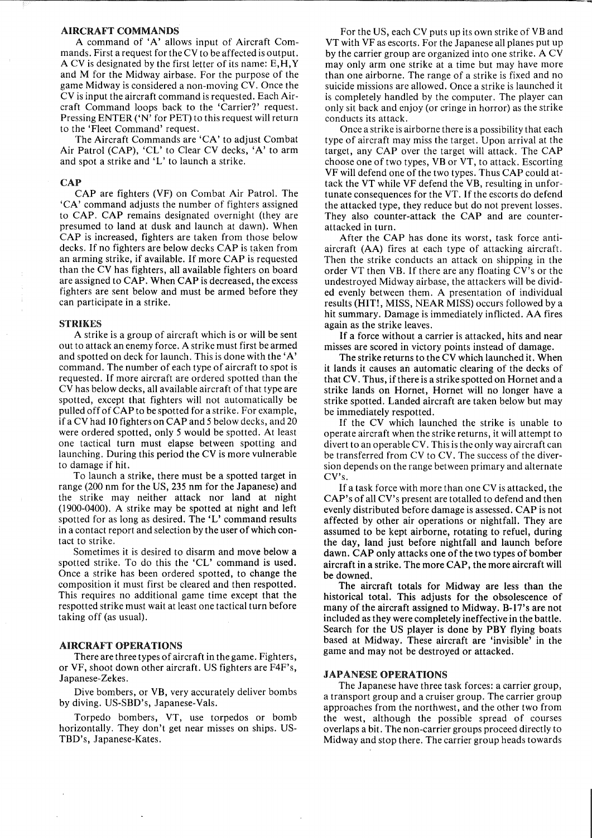### AIRCRAFT COMMANDS

A command of 'A' allows input of Aircraft Commands. First a request for the CV to be affected is output. A CV is designated by the first letter of its name: E,H,Y and M for the Midway airbase. For the purpose of the game Midway is considered a non-moving CV. Once the CV is input the aircraft command is requested. Each Aircraft Command loops back to the 'Carrier?' request. Pressing ENTER ('N' for PET) to this request will return to the 'Fleet Command' request.

The Aircraft Commands are 'CA' to adjust Combat Air Patrol (CAP), 'CL' to Clear CV decks, 'A' to arm and spot a strike and 'L' to launch a strike.

#### **CAP**

CAP are fighters (VF) on Combat Air Patrol. The 'CA' command adjusts the number of fighters assigned to CAP. CAP remains designated overnight (they are presumed to land at dusk and launch at dawn). When CAP is increased, fighters are taken from those below decks. If no fighters are below decks CAP is taken from an arming strike, if available. If more CAP is requested than the CV has fighters, all available fighters on board are assigned to CAP. When CAP is decreased, the excess fighters are sent below and must be armed before they can participate in a strike.

#### STRIKES

A strike is a group of aircraft which is or will be sent out to attack an enemy force. A strike must first be armed and spotted on deck for launch. This is done with the'A' command. The number of each type of aircraft to spot is requested. If more aircraft are ordered spotted than the CV has below decks, all available aircraft of that type are spotted, except that fighters will not automatically be pulled off ofCAP to be spotted for a strike. For example, if a CV had 10 fighters on CAP and 5 below decks, and 20 were ordered spotted, only 5 would be spotted. At least one tactical turn must elapse between spotting and launching. During this period the CV is more vulnerable to damage if hit.

To launch a strike, there must be a spotted target in range (200 nm for the US, 235 nm for the Japanese) and the strike may neither attack nor land at night (1900-0400). A strike may be spotted at night and left spotted for as long as desired. The 'L' command results in a contact report and selection by the user of which contact to strike.

Sometimes it is desired to disarm and move below a spotted strike. To do this the 'CL' command is used. Once a strike has been ordered spotted, to change the composition it must first be cleared and then respotted. This requires no additional game time except that the respotted strike must wait at least one tactical turn before taking off (as usual).

#### AIRCRAFT OPERATIONS

There are three types of aircraft in the game. Fighters, or VF, shoot down other aircraft. US fighters are F4F's, Japanese-Zekes.

Dive bombers, or VB, very accurately deliver bombs by diving. US-SBD's, Japanese-Vals.

Torpedo bombers, VT, use torpedos or bomb horizontally. They don't get near misses on ships. US-TBD's, Japanese-Kates.

For the US, each CV puts up its own strike of VB and VT with VF as escorts. For the Japanese all planes put up by the carrier group are organized into one strike. A CV may only arm one strike at a time but may have more than one airborne. The range of a strike is fixed and no suicide missions are allowed. Once a strike is launched it is completely handled by the computer. The player can only sit back and enjoy (or cringe in horror) as the strike conducts its attack.

Once a strike is airborne there is a possibility that each type of aircraft may miss the target. Upon arrival at the target, any CAP over the target will attack. The CAP choose one of two types, VB or VT, to attack. Escorting VF will defend one of the two types. Thus CAP could attack the VT while VF defend the VB, resulting in unfortunate consequences for the VT. If the escorts do defend the attacked type, they reduce but do not prevent losses. They also counter-attack the CAP and are counterattacked in turn.

After the CAP has done its worst, task force antiaircraft (AA) fires at each type of attacking aircraft. Then the strike conducts an attack on shipping in the order VT then VB. If there are any floating CV's or the undestroyed Midway airbase, the attackers will be divided evenly between them. A presentation of individual results (HIT!, MISS, NEAR MISS) occurs followed by a hit summary. Damage is immediately inflicted. AA fires again as the strike leaves.

If a force without a carrier is attacked, hits and near misses are scored in victory points instead of damage.

The strike returns to the CV which launched it. When it lands it causes an automatic clearing of the decks of that CV. Thus, if there is a strike spotted on Hornet and a strike lands on Hornet, Hornet will no longer have a strike spotted. Landed aircraft are taken below but may be immediately respotted.

If the CV which launched the strike is unable to operate aircraft when the strike returns, it will attempt to divert to an operable CV. This is the only way aircraft can be transferred from CV to CV. The success of the diversion depends on the range between primary and alternate CV's.

If a task force with more than one CV is attacked, the CAP's of all CV's present are totalled to defend and then evenly distributed before damage is assessed. CAP is not affected by other air operations or nightfall. They are assumed to be kept airborne, rotating to refuel, during the day, land just before nightfall and launch before dawn. CAP only attacks one of the two types of bomber aircraft in a strike. The more CAP, the more aircraft will be downed.

The aircraft totals for Midway are less than the historical total. This adjusts for the obsolescence of many of the aircraft assigned to Midway. B-I7's are not included as they were completely ineffective in the battle. Search for the US player is done by PBY flying boats based at Midway. These aircraft are 'invisible' in the game and may not be destroyed or attacked.

# JAPANESE OPERATIONS

The Japanese have three task forces: a carrier group, a transport group and a cruiser group. The carrier group approaches from the northwest, and the other two from the west, although the possible spread of courses overlaps a bit. The non-carrier groups proceed directly to Midway and stop there. The carrier group heads towards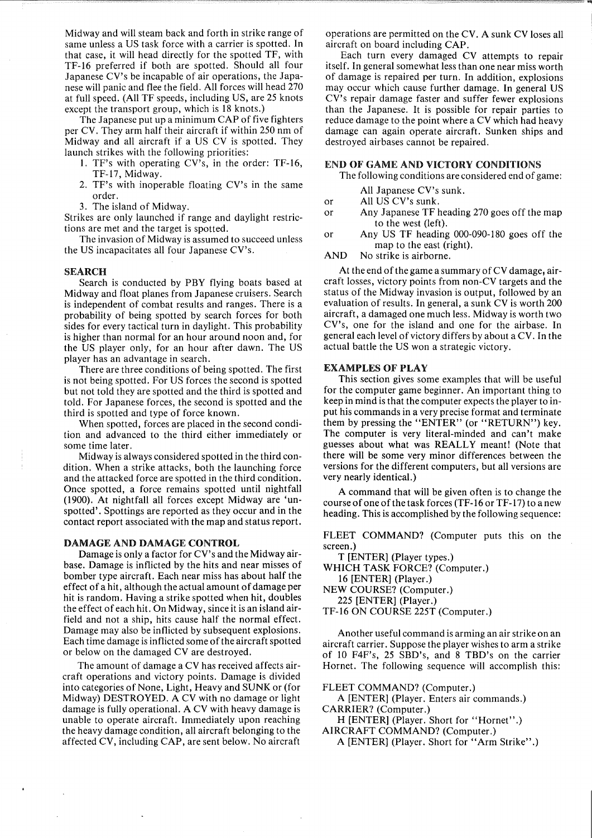Midway and will steam back and forth in strike range of same unless a US task force with a carrier is spotted. In that case, it will head directly for the spotted TF, with TF-16 preferred if both are spotted. Should all four Japanese CV's be incapable of air operations, the Japanese will panic and flee the field. All forces will head 270 at full speed. (All TF speeds, including US, are 25 knots except the transport group, which is 18 knots.)

The Japanese put up a minimum CAP of five fighters per CV. They arm half their aircraft if within 250 nm of Midway and all aircraft if a US CV is spotted. They launch strikes with the following priorities:

- 1. TF's with operating CV's, in the order: TF-16, TF-17, Midway.
- 2. TF's with inoperable floating CV's in the same order.
- 3. The island of Midway.

Strikes are only launched if range and daylight restrictions are met and the target is spotted.

The invasion of Midway is assumed to succeed unless the US incapacitates all four Japanese CV's.

#### SEARCH

Search is conducted by PBY flying boats based at Midway and float planes from Japanese cruisers. Search is independent of combat results and ranges. There is a probability of being spotted by search forces for both sides for every tactical turn in daylight. This probability is higher than normal for an hour around noon and, for the US player only, for an hour after dawn. The US player has an advantage in search.

There are three conditions of being spotted. The first is not being spotted. For US forces the second is spotted but not told they are spotted and the third is spotted and told. For Japanese forces, the second is spotted and the third is spotted and type of force known.

When spotted, forces are placed in the second condition and advanced to the third either immediately or some time later.

Midway is always considered spotted in the third condition. When a strike attacks, both the launching force and the attacked force are spotted in the third condition. Once spotted, a force remains spotted until nightfall (1900). At nightfall all forces except Midway are 'unspotted'. Spottings are reported as they occur and in the contact report associated with the map and status report.

#### DAMAGE AND DAMAGE CONTROL

Damage is only a factor for CV's and the Midway airbase. Damage is inflicted by the hits and near misses of bomber type aircraft. Each near miss has about half the effect of a hit, although the actual amount of damage per hit is random. Having a strike spotted when hit, doubles the effect of each hit. On Midway, since it is an island airfield and not a ship, hits cause half the normal effect. Damage may also be inflicted by subsequent explosions. Each time damage is inflicted some of the aircraft spotted or below on the damaged CV are destroyed.

The amount of damage a CV has received affects aircraft operations and victory points. Damage is divided into categories of None, Light, Heavy and SUNK or (for Midway) DESTROYED. A CV with no damage or light damage is fully operational. A CV with heavy damage is unable to operate aircraft. Immediately upon reaching the heavy damage condition, all aircraft belonging to the affected CV, including CAP, are sent below. No aircraft

operations are permitted on the CV. A sunk CV loses all aircraft on board including CAP.

Each turn every damaged CV attempts to repair itself. In general somewhat less than one near miss worth of damage is repaired per turn. In addition, explosions may occur which cause further damage. In general US CV's repair damage faster and suffer fewer explosions than the Japanese. It is possible for repair parties to reduce damage to the point where a CV which had heavy damage can again operate aircraft. Sunken ships and destroyed airbases cannot be repaired.

## END OF GAME AND VICTORY CONDITIONS

The following conditions are considered end of game:

- All Japanese CV's sunk.
- or All US CV's sunk.
- or Any Japanese TF heading 270 goes off the map to the west (left).
- or Any US TF heading 000-090-180 goes off the map to the east (right).
- AND No strike is airborne.

At the end of the game a summary of  $CV$  damage, aircraft losses, victory points from non-CV targets and the status of the Midway invasion is output, followed by an evaluation of results. In general, a sunk CV is worth 200 aircraft, a damaged one much less. Midway is worth two CV's, one for the island and one for the airbase. In general each level of victory differs by about a CV. In the actual battle the US won a strategic victory.

## EXAMPLES OF PLAY

This section gives some examples that will be useful for the computer game beginner. An important thing to keep in mind is that the computer expects the player to input his commands in a very precise format and terminate them by pressing the "ENTER" (or "RETURN") key. The computer is very literal-minded and can't make guesses about what was REALLY meant! (Note that there will be some very minor differences between the versions for the different computers, but all versions are very nearly identical.)

A command that will be given often is to change the course of one of the task forces (TF-16 or TF-17) to a new heading. This is accomplished by the following sequence:

FLEET COMMAND? (Computer puts this on the screen.)

T [ENTER] (Player types.)

WHICH TASK FORCE? (Computer.) 16 [ENTER] (Player.)

NEW COURSE? (Computer.) 225 [ENTER] (Player.)

TF-16 ON COURSE 225T (Computer.)

Another useful command is arming an air strike on an aircraft carrier. Suppose the player wishes to arm a strike of 10 F4F's, 25 SBD's, and 8 TBD's on the carrier Hornet. The following sequence will accomplish this:

FLEET COMMAND? (Computer.)

A [ENTER] (Player. Enters air commands.) CARRIER? (Computer.)

H [ENTER] (Player. Short for "Hornet".)

AIRCRAFT COMMAND? (Computer.)

A [ENTER] (Player. Short for "Arm Strike".)